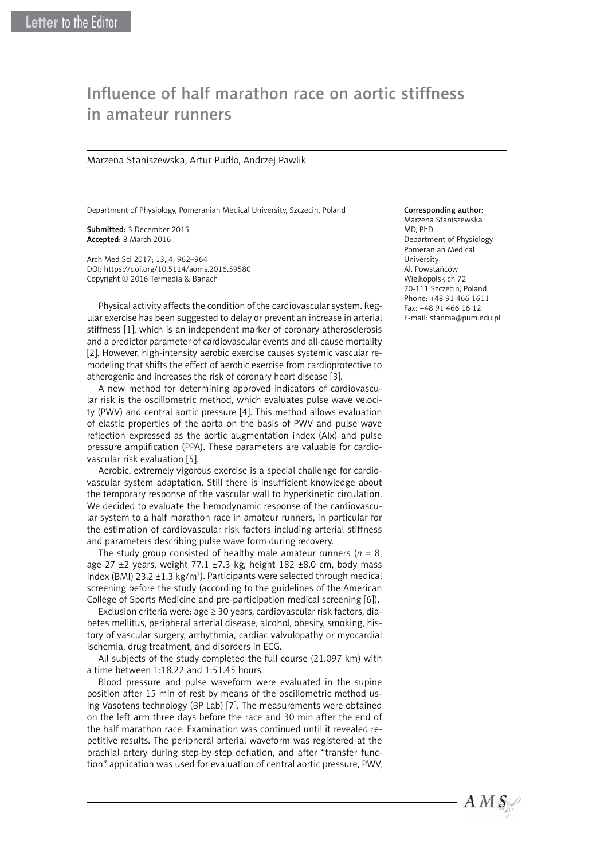# Influence of half marathon race on aortic stiffness in amateur runners

### Marzena Staniszewska, Artur Pudło, Andrzej Pawlik

Department of Physiology, Pomeranian Medical University, Szczecin, Poland

Submitted: 3 December 2015 Accepted: 8 March 2016

Arch Med Sci 2017; 13, 4: 962–964 DOI: https://doi.org/10.5114/aoms.2016.59580 Copyright © 2016 Termedia & Banach

Physical activity affects the condition of the cardiovascular system. Regular exercise has been suggested to delay or prevent an increase in arterial stiffness [1], which is an independent marker of coronary atherosclerosis and a predictor parameter of cardiovascular events and all-cause mortality [2]. However, high-intensity aerobic exercise causes systemic vascular remodeling that shifts the effect of aerobic exercise from cardioprotective to atherogenic and increases the risk of coronary heart disease [3].

A new method for determining approved indicators of cardiovascular risk is the oscillometric method, which evaluates pulse wave velocity (PWV) and central aortic pressure [4]. This method allows evaluation of elastic properties of the aorta on the basis of PWV and pulse wave reflection expressed as the aortic augmentation index (AIx) and pulse pressure amplification (PPA). These parameters are valuable for cardiovascular risk evaluation [5].

Aerobic, extremely vigorous exercise is a special challenge for cardiovascular system adaptation. Still there is insufficient knowledge about the temporary response of the vascular wall to hyperkinetic circulation. We decided to evaluate the hemodynamic response of the cardiovascular system to a half marathon race in amateur runners, in particular for the estimation of cardiovascular risk factors including arterial stiffness and parameters describing pulse wave form during recovery.

The study group consisted of healthy male amateur runners ( $n = 8$ , age 27  $\pm$ 2 years, weight 77.1  $\pm$ 7.3 kg, height 182  $\pm$ 8.0 cm, body mass index (BMI) 23.2  $\pm$ 1.3 kg/m<sup>2</sup>). Participants were selected through medical screening before the study (according to the guidelines of the American College of Sports Medicine and pre-participation medical screening [6]).

Exclusion criteria were: age ≥ 30 years, cardiovascular risk factors, diabetes mellitus, peripheral arterial disease, alcohol, obesity, smoking, history of vascular surgery, arrhythmia, cardiac valvulopathy or myocardial ischemia, drug treatment, and disorders in ECG.

All subjects of the study completed the full course (21.097 km) with a time between 1:18.22 and 1:51.45 hours.

Blood pressure and pulse waveform were evaluated in the supine position after 15 min of rest by means of the oscillometric method using Vasotens technology (BP Lab) [7]. The measurements were obtained on the left arm three days before the race and 30 min after the end of the half marathon race. Examination was continued until it revealed repetitive results. The peripheral arterial waveform was registered at the brachial artery during step-by-step deflation, and after "transfer function" application was used for evaluation of central aortic pressure, PWV,

## Corresponding author:

Marzena Staniszewska MD, PhD Department of Physiology Pomeranian Medical University Al. Powstańców Wielkopolskich 72 70-111 Szczecin, Poland Phone: +48 91 466 1611 Fax: +48 91 466 16 12 E-mail: stanma@pum.edu.pl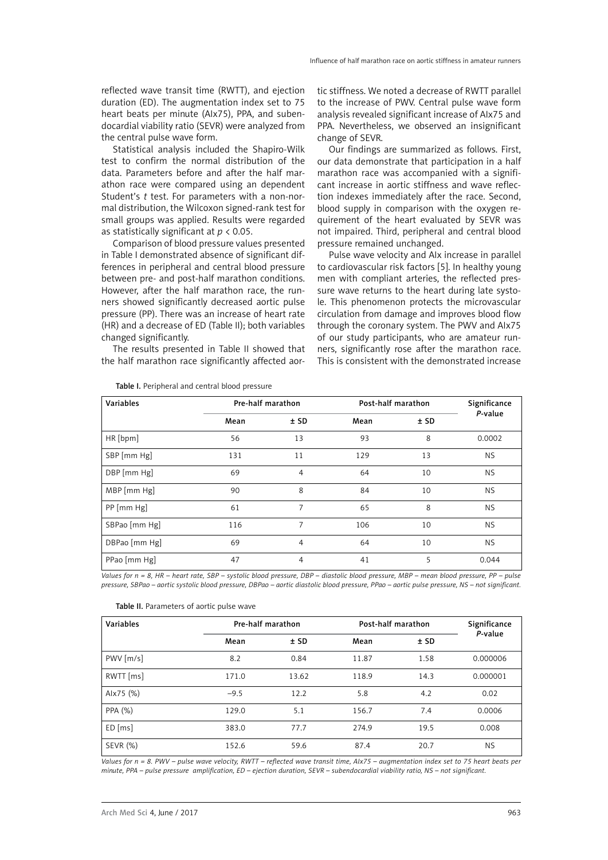reflected wave transit time (RWTT), and ejection duration (ED). The augmentation index set to 75 heart beats per minute (AIx75), PPA, and subendocardial viability ratio (SEVR) were analyzed from the central pulse wave form.

Statistical analysis included the Shapiro-Wilk test to confirm the normal distribution of the data. Parameters before and after the half marathon race were compared using an dependent Student's *t* test. For parameters with a non-normal distribution, the Wilcoxon signed-rank test for small groups was applied. Results were regarded as statistically significant at *p* < 0.05.

Comparison of blood pressure values presented in Table I demonstrated absence of significant differences in peripheral and central blood pressure between pre- and post-half marathon conditions. However, after the half marathon race, the runners showed significantly decreased aortic pulse pressure (PP). There was an increase of heart rate (HR) and a decrease of ED (Table II); both variables changed significantly.

The results presented in Table II showed that the half marathon race significantly affected aortic stiffness. We noted a decrease of RWTT parallel to the increase of PWV. Central pulse wave form analysis revealed significant increase of AIx75 and PPA. Nevertheless, we observed an insignificant change of SEVR.

Our findings are summarized as follows. First, our data demonstrate that participation in a half marathon race was accompanied with a significant increase in aortic stiffness and wave reflection indexes immediately after the race. Second, blood supply in comparison with the oxygen requirement of the heart evaluated by SEVR was not impaired. Third, peripheral and central blood pressure remained unchanged.

Pulse wave velocity and AIx increase in parallel to cardiovascular risk factors [5]. In healthy young men with compliant arteries, the reflected pressure wave returns to the heart during late systole. This phenomenon protects the microvascular circulation from damage and improves blood flow through the coronary system. The PWV and AIx75 of our study participants, who are amateur runners, significantly rose after the marathon race. This is consistent with the demonstrated increase

| Variables     | Pre-half marathon |                | Post-half marathon |        | Significance |
|---------------|-------------------|----------------|--------------------|--------|--------------|
|               | Mean              | $±$ SD         | Mean               | $±$ SD | P-value      |
| HR[bpm]       | 56                | 13             | 93                 | 8      | 0.0002       |
| SBP [mm Hg]   | 131               | 11             | 129                | 13     | NS.          |
| DBP [mm Hg]   | 69                | $\overline{4}$ | 64                 | 10     | <b>NS</b>    |
| MBP [mm Hg]   | 90                | 8              | 84                 | 10     | <b>NS</b>    |
| PP [mm Hg]    | 61                | 7              | 65                 | 8      | NS.          |
| SBPao [mm Hg] | 116               | 7              | 106                | 10     | <b>NS</b>    |
| DBPao [mm Hg] | 69                | $\overline{4}$ | 64                 | 10     | <b>NS</b>    |
| PPao [mm Hg]  | 47                | $\overline{4}$ | 41                 | 5      | 0.044        |

Table I. Peripheral and central blood pressure

*Values for n = 8, HR – heart rate, SBP – systolic blood pressure, DBP – diastolic blood pressure, MBP – mean blood pressure, PP – pulse pressure, SBPao – aortic systolic blood pressure, DBPao – aortic diastolic blood pressure, PPao – aortic pulse pressure, NS – not significant.*

| Table II. Parameters of aortic pulse wave |  |  |  |  |  |
|-------------------------------------------|--|--|--|--|--|
|-------------------------------------------|--|--|--|--|--|

| Variables     | Pre-half marathon |        | Post-half marathon |      | Significance |
|---------------|-------------------|--------|--------------------|------|--------------|
|               | Mean              | $±$ SD | Mean               | ± SD | P-value      |
| $PWV$ $[m/s]$ | 8.2               | 0.84   | 11.87              | 1.58 | 0.000006     |
| RWTT [ms]     | 171.0             | 13.62  | 118.9              | 14.3 | 0.000001     |
| Alx75 (%)     | $-9.5$            | 12.2   | 5.8                | 4.2  | 0.02         |
| PPA (%)       | 129.0             | 5.1    | 156.7              | 7.4  | 0.0006       |
| $ED$ [ms]     | 383.0             | 77.7   | 274.9              | 19.5 | 0.008        |
| SEVR (%)      | 152.6             | 59.6   | 87.4               | 20.7 | <b>NS</b>    |

*Values for n = 8. PWV – pulse wave velocity, RWTT – reflected wave transit time, AIx75 – augmentation index set to 75 heart beats per minute, PPA – pulse pressure amplification, ED – ejection duration, SEVR – subendocardial viability ratio, NS – not significant.*